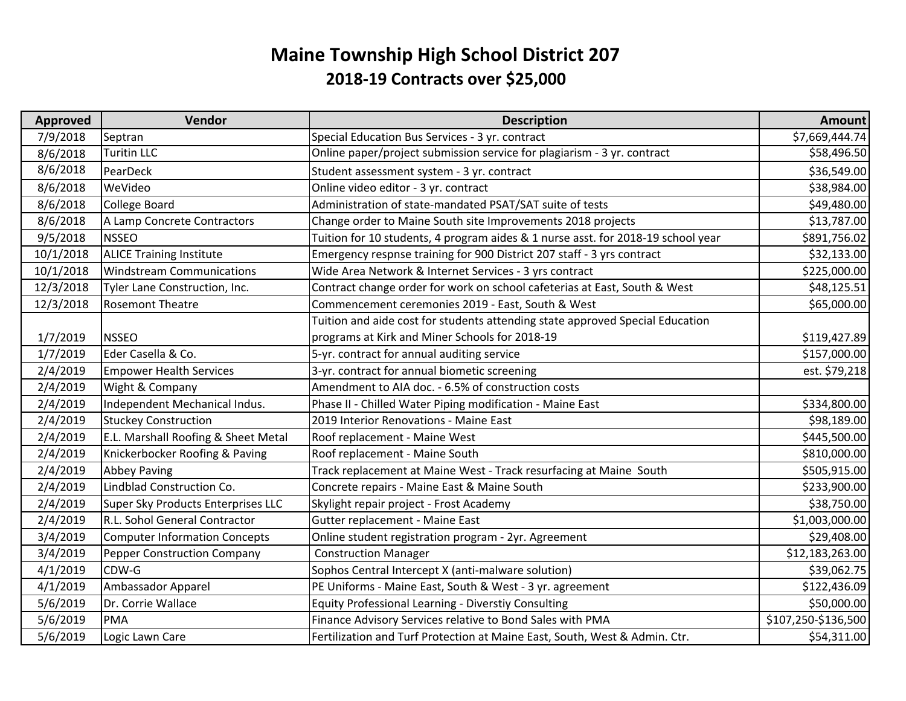## **Maine Township High School District 207 2018‐19 Contracts over \$25,00 0**

| <b>Approved</b> | Vendor                               | <b>Description</b>                                                               | <b>Amount</b>       |
|-----------------|--------------------------------------|----------------------------------------------------------------------------------|---------------------|
| 7/9/2018        | Septran                              | Special Education Bus Services - 3 yr. contract                                  | \$7,669,444.74      |
| 8/6/2018        | <b>Turitin LLC</b>                   | Online paper/project submission service for plagiarism - 3 yr. contract          | \$58,496.50         |
| 8/6/2018        | PearDeck                             | Student assessment system - 3 yr. contract                                       | \$36,549.00         |
| 8/6/2018        | WeVideo                              | Online video editor - 3 yr. contract                                             | \$38,984.00         |
| 8/6/2018        | <b>College Board</b>                 | Administration of state-mandated PSAT/SAT suite of tests                         | \$49,480.00         |
| 8/6/2018        | A Lamp Concrete Contractors          | Change order to Maine South site Improvements 2018 projects                      | \$13,787.00         |
| 9/5/2018        | <b>NSSEO</b>                         | Tuition for 10 students, 4 program aides & 1 nurse asst. for 2018-19 school year | \$891,756.02        |
| 10/1/2018       | <b>ALICE Training Institute</b>      | Emergency respnse training for 900 District 207 staff - 3 yrs contract           | \$32,133.00         |
| 10/1/2018       | <b>Windstream Communications</b>     | Wide Area Network & Internet Services - 3 yrs contract                           | \$225,000.00        |
| 12/3/2018       | Tyler Lane Construction, Inc.        | Contract change order for work on school cafeterias at East, South & West        | \$48,125.51         |
| 12/3/2018       | <b>Rosemont Theatre</b>              | Commencement ceremonies 2019 - East, South & West                                | \$65,000.00         |
|                 |                                      | Tuition and aide cost for students attending state approved Special Education    |                     |
| 1/7/2019        | <b>NSSEO</b>                         | programs at Kirk and Miner Schools for 2018-19                                   | \$119,427.89        |
| 1/7/2019        | Eder Casella & Co.                   | 5-yr. contract for annual auditing service                                       | \$157,000.00        |
| 2/4/2019        | <b>Empower Health Services</b>       | 3-yr. contract for annual biometic screening                                     | est. \$79,218       |
| 2/4/2019        | Wight & Company                      | Amendment to AIA doc. - 6.5% of construction costs                               |                     |
| 2/4/2019        | Independent Mechanical Indus.        | Phase II - Chilled Water Piping modification - Maine East                        | \$334,800.00        |
| 2/4/2019        | <b>Stuckey Construction</b>          | 2019 Interior Renovations - Maine East                                           | \$98,189.00         |
| 2/4/2019        | E.L. Marshall Roofing & Sheet Metal  | Roof replacement - Maine West                                                    | \$445,500.00        |
| 2/4/2019        | Knickerbocker Roofing & Paving       | Roof replacement - Maine South                                                   | \$810,000.00        |
| 2/4/2019        | <b>Abbey Paving</b>                  | Track replacement at Maine West - Track resurfacing at Maine South               | \$505,915.00        |
| 2/4/2019        | Lindblad Construction Co.            | Concrete repairs - Maine East & Maine South                                      | \$233,900.00        |
| 2/4/2019        | Super Sky Products Enterprises LLC   | Skylight repair project - Frost Academy                                          | \$38,750.00         |
| 2/4/2019        | R.L. Sohol General Contractor        | Gutter replacement - Maine East                                                  | \$1,003,000.00      |
| 3/4/2019        | <b>Computer Information Concepts</b> | Online student registration program - 2yr. Agreement                             | \$29,408.00         |
| 3/4/2019        | Pepper Construction Company          | <b>Construction Manager</b>                                                      | \$12,183,263.00     |
| 4/1/2019        | CDW-G                                | Sophos Central Intercept X (anti-malware solution)                               | \$39,062.75         |
| 4/1/2019        | Ambassador Apparel                   | PE Uniforms - Maine East, South & West - 3 yr. agreement                         | \$122,436.09        |
| 5/6/2019        | Dr. Corrie Wallace                   | Equity Professional Learning - Diverstiy Consulting                              | \$50,000.00         |
| 5/6/2019        | PMA                                  | Finance Advisory Services relative to Bond Sales with PMA                        | \$107,250-\$136,500 |
| 5/6/2019        | Logic Lawn Care                      | Fertilization and Turf Protection at Maine East, South, West & Admin. Ctr.       | \$54,311.00         |